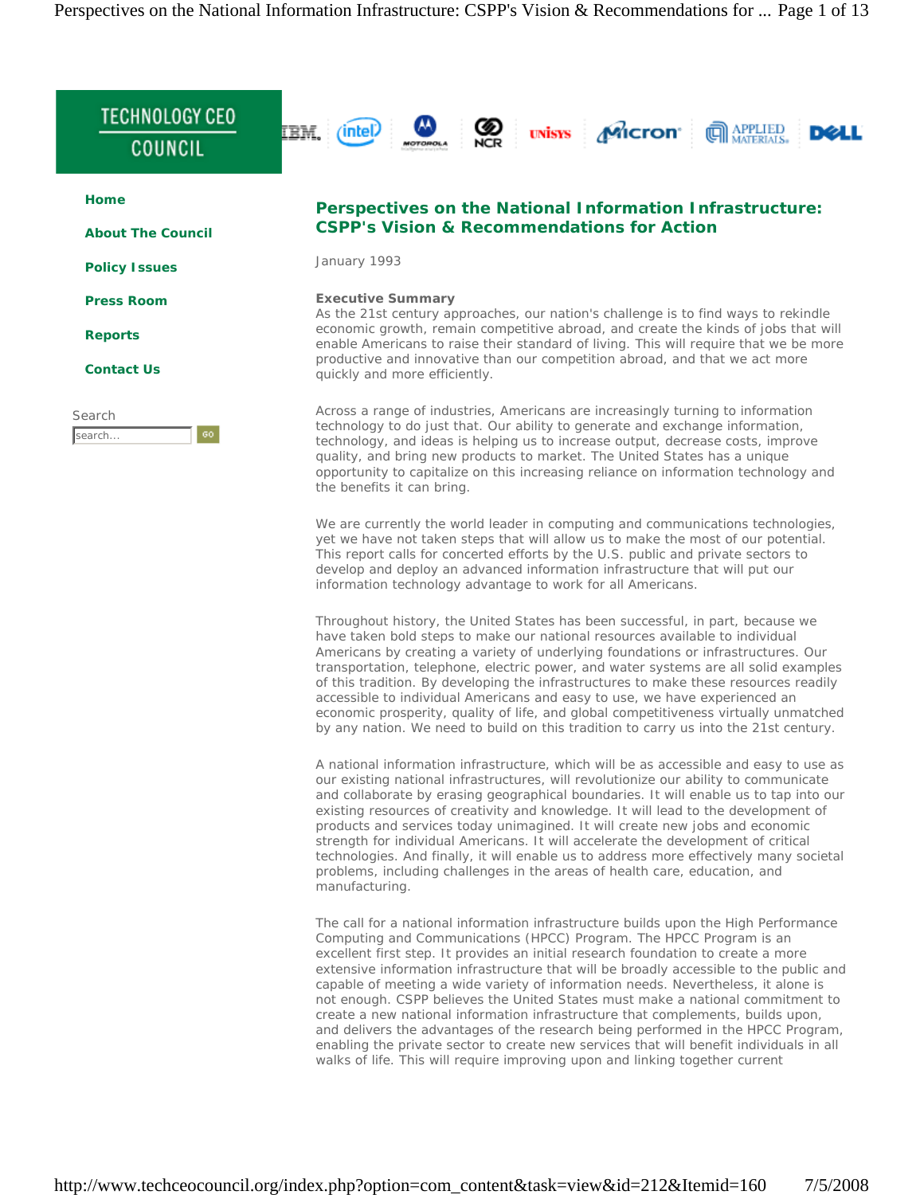

We are currently the world leader in computing and communications technologies, yet we have not taken steps that will allow us to make the most of our potential. This report calls for concerted efforts by the U.S. public and private sectors to develop and deploy an advanced information infrastructure that will put our information technology advantage to work for all Americans.

Throughout history, the United States has been successful, in part, because we have taken bold steps to make our national resources available to individual Americans by creating a variety of underlying foundations or infrastructures. Our transportation, telephone, electric power, and water systems are all solid examples of this tradition. By developing the infrastructures to make these resources readily accessible to individual Americans and easy to use, we have experienced an economic prosperity, quality of life, and global competitiveness virtually unmatched by any nation. We need to build on this tradition to carry us into the 21st century.

A national information infrastructure, which will be as accessible and easy to use as our existing national infrastructures, will revolutionize our ability to communicate and collaborate by erasing geographical boundaries. It will enable us to tap into our existing resources of creativity and knowledge. It will lead to the development of products and services today unimagined. It will create new jobs and economic strength for individual Americans. It will accelerate the development of critical technologies. And finally, it will enable us to address more effectively many societal problems, including challenges in the areas of health care, education, and manufacturing.

The call for a national information infrastructure builds upon the High Performance Computing and Communications (HPCC) Program. The HPCC Program is an excellent first step. It provides an initial research foundation to create a more extensive information infrastructure that will be broadly accessible to the public and capable of meeting a wide variety of information needs. Nevertheless, it alone is not enough. CSPP believes the United States must make a national commitment to create a new national information infrastructure that complements, builds upon, and delivers the advantages of the research being performed in the HPCC Program, enabling the private sector to create new services that will benefit individuals in all walks of life. This will require improving upon and linking together current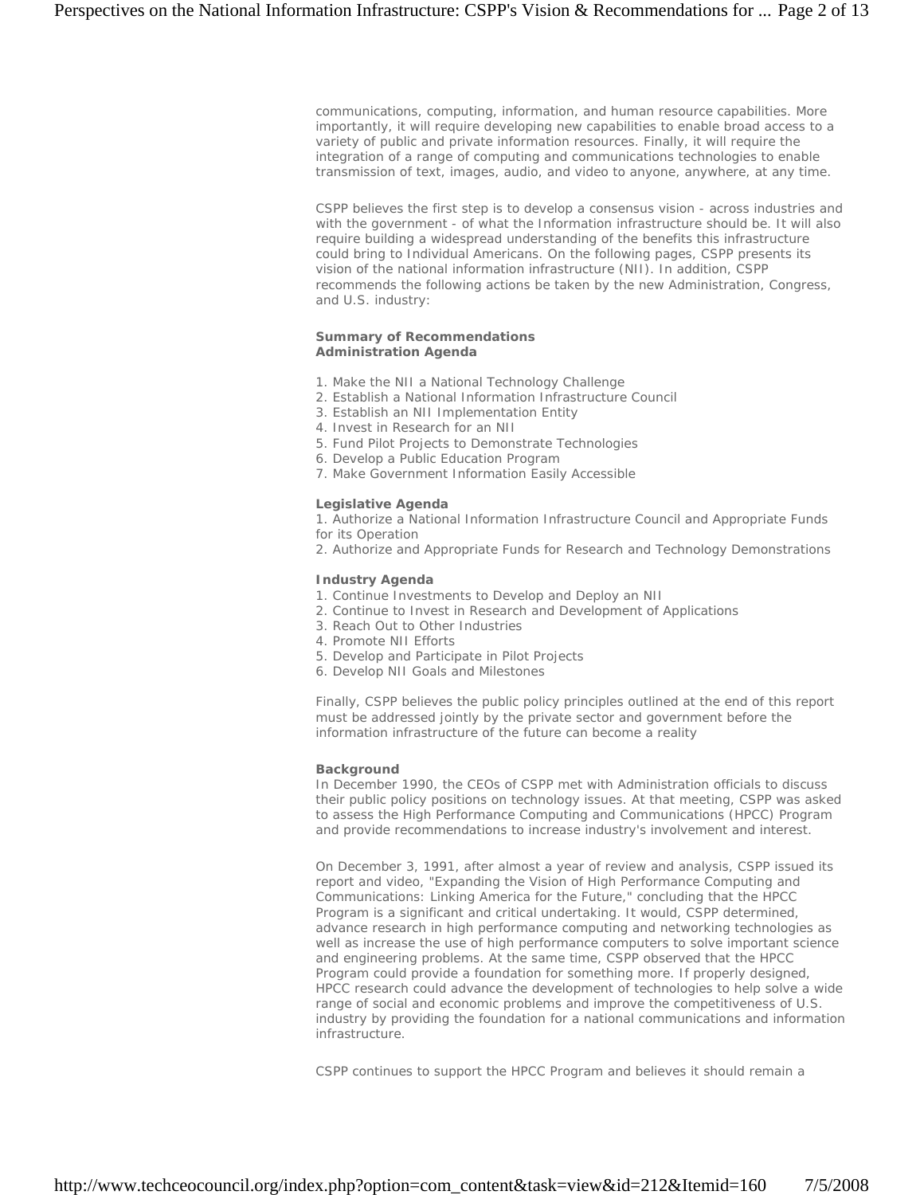communications, computing, information, and human resource capabilities. More importantly, it will require developing new capabilities to enable broad access to a variety of public and private information resources. Finally, it will require the integration of a range of computing and communications technologies to enable transmission of text, images, audio, and video to anyone, anywhere, at any time.

CSPP believes the first step is to develop a consensus vision - across industries and with the government - of what the Information infrastructure should be. It will also require building a widespread understanding of the benefits this infrastructure could bring to Individual Americans. On the following pages, CSPP presents its vision of the national information infrastructure (NII). In addition, CSPP recommends the following actions be taken by the new Administration, Congress, and U.S. industry:

### **Summary of Recommendations Administration Agenda**

- 1. Make the NII a National Technology Challenge
- 2. Establish a National Information Infrastructure Council
- 3. Establish an NII Implementation Entity
- 4. Invest in Research for an NII
- 5. Fund Pilot Projects to Demonstrate Technologies
- 6. Develop a Public Education Program
- 7. Make Government Information Easily Accessible

### **Legislative Agenda**

1. Authorize a National Information Infrastructure Council and Appropriate Funds for its Operation

2. Authorize and Appropriate Funds for Research and Technology Demonstrations

### **Industry Agenda**

- 1. Continue Investments to Develop and Deploy an NII
- 2. Continue to Invest in Research and Development of Applications
- 3. Reach Out to Other Industries
- 4. Promote NII Efforts
- 5. Develop and Participate in Pilot Projects
- 6. Develop NII Goals and Milestones

Finally, CSPP believes the public policy principles outlined at the end of this report must be addressed jointly by the private sector and government before the information infrastructure of the future can become a reality

### **Background**

In December 1990, the CEOs of CSPP met with Administration officials to discuss their public policy positions on technology issues. At that meeting, CSPP was asked to assess the High Performance Computing and Communications (HPCC) Program and provide recommendations to increase industry's involvement and interest.

On December 3, 1991, after almost a year of review and analysis, CSPP issued its report and video, "Expanding the Vision of High Performance Computing and Communications: Linking America for the Future," concluding that the HPCC Program is a significant and critical undertaking. It would, CSPP determined, advance research in high performance computing and networking technologies as well as increase the use of high performance computers to solve important science and engineering problems. At the same time, CSPP observed that the HPCC Program could provide a foundation for something more. If properly designed, HPCC research could advance the development of technologies to help solve a wide range of social and economic problems and improve the competitiveness of U.S. industry by providing the foundation for a national communications and information infrastructure.

CSPP continues to support the HPCC Program and believes it should remain a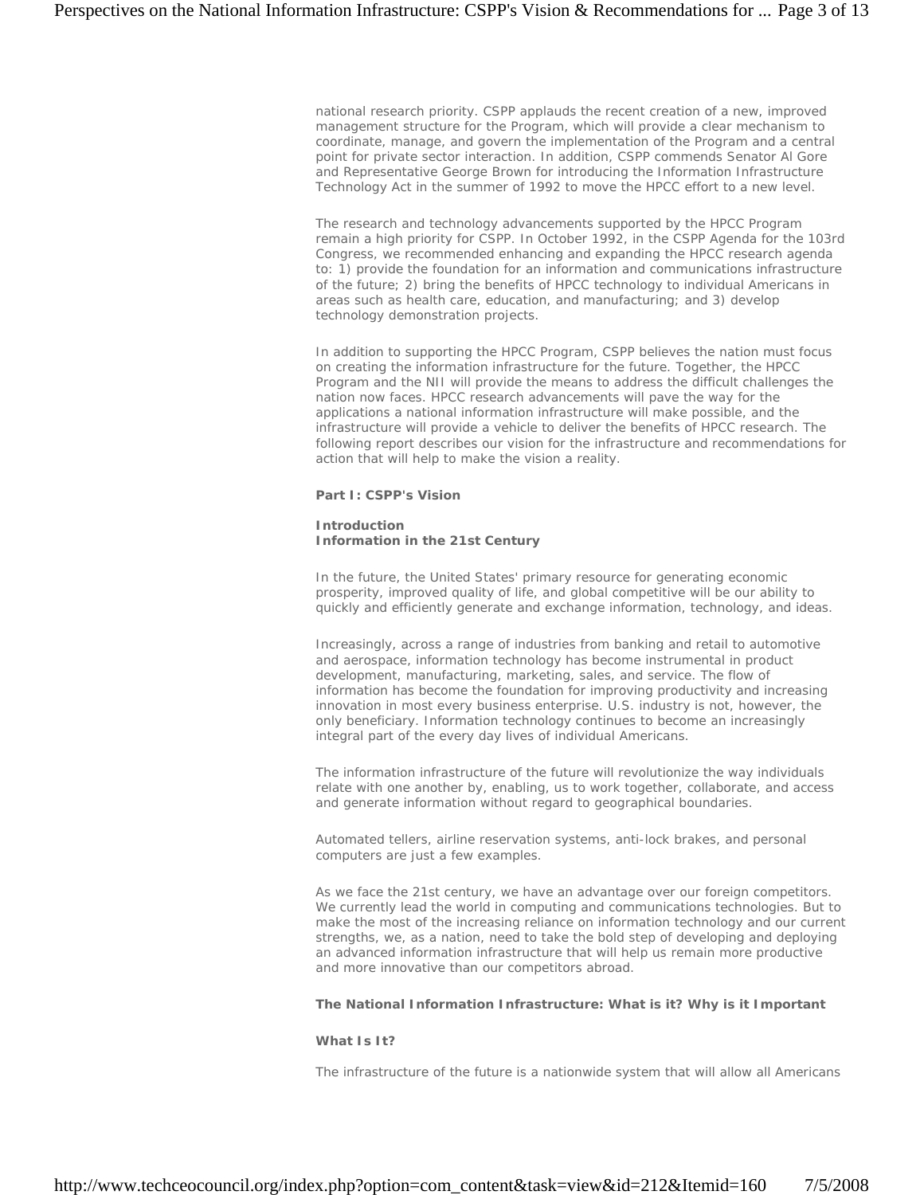national research priority. CSPP applauds the recent creation of a new, improved management structure for the Program, which will provide a clear mechanism to coordinate, manage, and govern the implementation of the Program and a central point for private sector interaction. In addition, CSPP commends Senator Al Gore and Representative George Brown for introducing the Information Infrastructure Technology Act in the summer of 1992 to move the HPCC effort to a new level.

The research and technology advancements supported by the HPCC Program remain a high priority for CSPP. In October 1992, in the CSPP Agenda for the 103rd Congress, we recommended enhancing and expanding the HPCC research agenda to: 1) provide the foundation for an information and communications infrastructure of the future; 2) bring the benefits of HPCC technology to individual Americans in areas such as health care, education, and manufacturing; and 3) develop technology demonstration projects.

In addition to supporting the HPCC Program, CSPP believes the nation must focus on creating the information infrastructure for the future. Together, the HPCC Program and the NII will provide the means to address the difficult challenges the nation now faces. HPCC research advancements will pave the way for the applications a national information infrastructure will make possible, and the infrastructure will provide a vehicle to deliver the benefits of HPCC research. The following report describes our vision for the infrastructure and recommendations for action that will help to make the vision a reality.

## **Part I: CSPP's Vision**

## **Introduction Information in the 21st Century**

In the future, the United States' primary resource for generating economic prosperity, improved quality of life, and global competitive will be our ability to quickly and efficiently generate and exchange information, technology, and ideas.

Increasingly, across a range of industries from banking and retail to automotive and aerospace, information technology has become instrumental in product development, manufacturing, marketing, sales, and service. The flow of information has become the foundation for improving productivity and increasing innovation in most every business enterprise. U.S. industry is not, however, the only beneficiary. Information technology continues to become an increasingly integral part of the every day lives of individual Americans.

The information infrastructure of the future will revolutionize the way individuals relate with one another by, enabling, us to work together, collaborate, and access and generate information without regard to geographical boundaries.

Automated tellers, airline reservation systems, anti-lock brakes, and personal computers are just a few examples.

As we face the 21st century, we have an advantage over our foreign competitors. We currently lead the world in computing and communications technologies. But to make the most of the increasing reliance on information technology and our current strengths, we, as a nation, need to take the bold step of developing and deploying an advanced information infrastructure that will help us remain more productive and more innovative than our competitors abroad.

# **The National Information Infrastructure: What is it? Why is it Important**

#### **What Is It?**

The infrastructure of the future is a nationwide system that will allow all Americans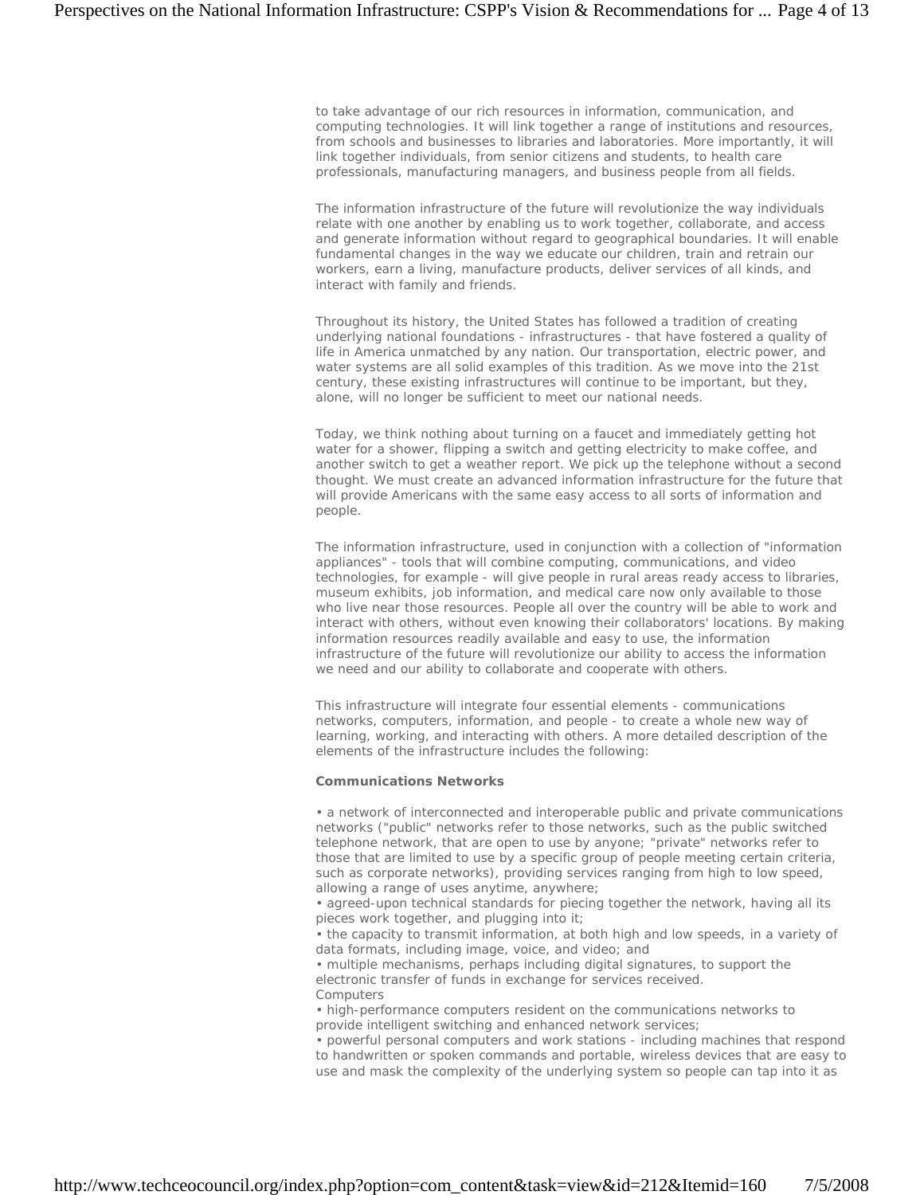to take advantage of our rich resources in information, communication, and computing technologies. It will link together a range of institutions and resources, from schools and businesses to libraries and laboratories. More importantly, it will link together individuals, from senior citizens and students, to health care professionals, manufacturing managers, and business people from all fields.

The information infrastructure of the future will revolutionize the way individuals relate with one another by enabling us to work together, collaborate, and access and generate information without regard to geographical boundaries. It will enable fundamental changes in the way we educate our children, train and retrain our workers, earn a living, manufacture products, deliver services of all kinds, and interact with family and friends.

Throughout its history, the United States has followed a tradition of creating underlying national foundations - infrastructures - that have fostered a quality of life in America unmatched by any nation. Our transportation, electric power, and water systems are all solid examples of this tradition. As we move into the 21st century, these existing infrastructures will continue to be important, but they, alone, will no longer be sufficient to meet our national needs.

Today, we think nothing about turning on a faucet and immediately getting hot water for a shower, flipping a switch and getting electricity to make coffee, and another switch to get a weather report. We pick up the telephone without a second thought. We must create an advanced information infrastructure for the future that will provide Americans with the same easy access to all sorts of information and people.

The information infrastructure, used in conjunction with a collection of "information appliances" - tools that will combine computing, communications, and video technologies, for example - will give people in rural areas ready access to libraries, museum exhibits, job information, and medical care now only available to those who live near those resources. People all over the country will be able to work and interact with others, without even knowing their collaborators' locations. By making information resources readily available and easy to use, the information infrastructure of the future will revolutionize our ability to access the information we need and our ability to collaborate and cooperate with others.

This infrastructure will integrate four essential elements - communications networks, computers, information, and people - to create a whole new way of learning, working, and interacting with others. A more detailed description of the elements of the infrastructure includes the following:

### **Communications Networks**

• a network of interconnected and interoperable public and private communications networks ("public" networks refer to those networks, such as the public switched telephone network, that are open to use by anyone; "private" networks refer to those that are limited to use by a specific group of people meeting certain criteria, such as corporate networks), providing services ranging from high to low speed, allowing a range of uses anytime, anywhere;

• agreed-upon technical standards for piecing together the network, having all its pieces work together, and plugging into it;

• the capacity to transmit information, at both high and low speeds, in a variety of data formats, including image, voice, and video; and

• multiple mechanisms, perhaps including digital signatures, to support the electronic transfer of funds in exchange for services received. Computers

• high-performance computers resident on the communications networks to provide intelligent switching and enhanced network services;

• powerful personal computers and work stations - including machines that respond to handwritten or spoken commands and portable, wireless devices that are easy to use and mask the complexity of the underlying system so people can tap into it as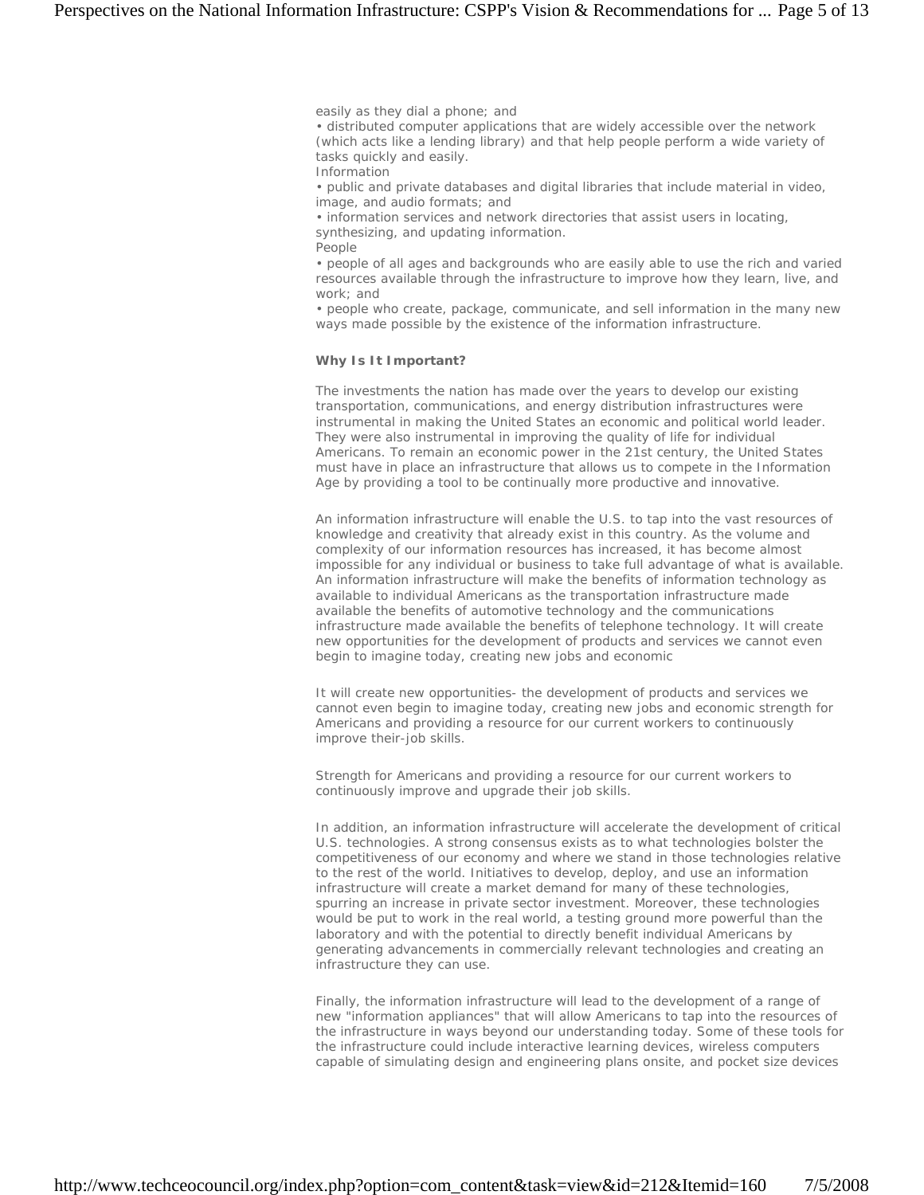easily as they dial a phone; and

• distributed computer applications that are widely accessible over the network (which acts like a lending library) and that help people perform a wide variety of tasks quickly and easily.

Information

• public and private databases and digital libraries that include material in video, image, and audio formats; and

• information services and network directories that assist users in locating, synthesizing, and updating information.

People

• people of all ages and backgrounds who are easily able to use the rich and varied resources available through the infrastructure to improve how they learn, live, and work; and

• people who create, package, communicate, and sell information in the many new ways made possible by the existence of the information infrastructure.

## **Why Is It Important?**

The investments the nation has made over the years to develop our existing transportation, communications, and energy distribution infrastructures were instrumental in making the United States an economic and political world leader. They were also instrumental in improving the quality of life for individual Americans. To remain an economic power in the 21st century, the United States must have in place an infrastructure that allows us to compete in the Information Age by providing a tool to be continually more productive and innovative.

An information infrastructure will enable the U.S. to tap into the vast resources of knowledge and creativity that already exist in this country. As the volume and complexity of our information resources has increased, it has become almost impossible for any individual or business to take full advantage of what is available. An information infrastructure will make the benefits of information technology as available to individual Americans as the transportation infrastructure made available the benefits of automotive technology and the communications infrastructure made available the benefits of telephone technology. It will create new opportunities for the development of products and services we cannot even begin to imagine today, creating new jobs and economic

It will create new opportunities- the development of products and services we cannot even begin to imagine today, creating new jobs and economic strength for Americans and providing a resource for our current workers to continuously improve their-job skills.

Strength for Americans and providing a resource for our current workers to continuously improve and upgrade their job skills.

In addition, an information infrastructure will accelerate the development of critical U.S. technologies. A strong consensus exists as to what technologies bolster the competitiveness of our economy and where we stand in those technologies relative to the rest of the world. Initiatives to develop, deploy, and use an information infrastructure will create a market demand for many of these technologies, spurring an increase in private sector investment. Moreover, these technologies would be put to work in the real world, a testing ground more powerful than the laboratory and with the potential to directly benefit individual Americans by generating advancements in commercially relevant technologies and creating an infrastructure they can use.

Finally, the information infrastructure will lead to the development of a range of new "information appliances" that will allow Americans to tap into the resources of the infrastructure in ways beyond our understanding today. Some of these tools for the infrastructure could include interactive learning devices, wireless computers capable of simulating design and engineering plans onsite, and pocket size devices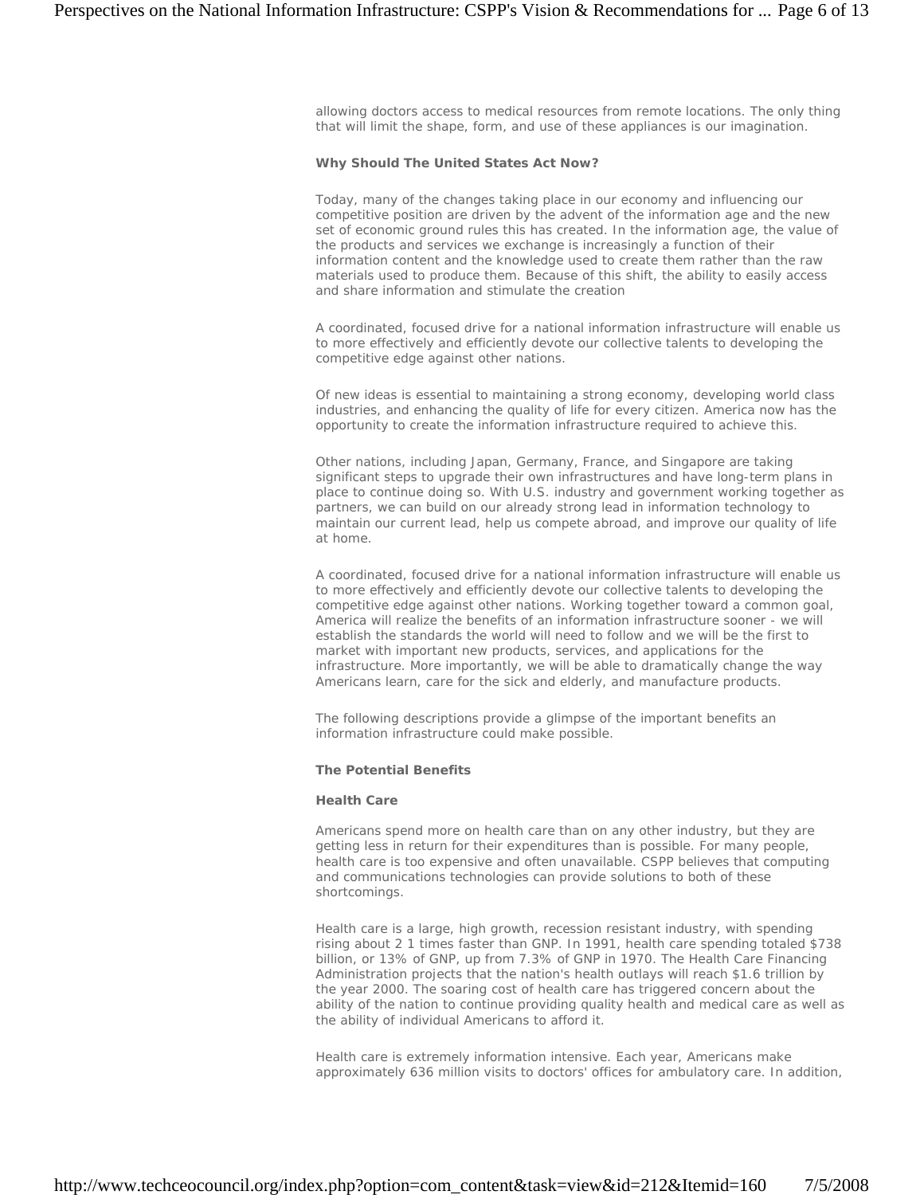allowing doctors access to medical resources from remote locations. The only thing that will limit the shape, form, and use of these appliances is our imagination.

#### **Why Should The United States Act Now?**

Today, many of the changes taking place in our economy and influencing our competitive position are driven by the advent of the information age and the new set of economic ground rules this has created. In the information age, the value of the products and services we exchange is increasingly a function of their information content and the knowledge used to create them rather than the raw materials used to produce them. Because of this shift, the ability to easily access and share information and stimulate the creation

A coordinated, focused drive for a national information infrastructure will enable us to more effectively and efficiently devote our collective talents to developing the competitive edge against other nations.

Of new ideas is essential to maintaining a strong economy, developing world class industries, and enhancing the quality of life for every citizen. America now has the opportunity to create the information infrastructure required to achieve this.

Other nations, including Japan, Germany, France, and Singapore are taking significant steps to upgrade their own infrastructures and have long-term plans in place to continue doing so. With U.S. industry and government working together as partners, we can build on our already strong lead in information technology to maintain our current lead, help us compete abroad, and improve our quality of life at home.

A coordinated, focused drive for a national information infrastructure will enable us to more effectively and efficiently devote our collective talents to developing the competitive edge against other nations. Working together toward a common goal, America will realize the benefits of an information infrastructure sooner - we will establish the standards the world will need to follow and we will be the first to market with important new products, services, and applications for the infrastructure. More importantly, we will be able to dramatically change the way Americans learn, care for the sick and elderly, and manufacture products.

The following descriptions provide a glimpse of the important benefits an information infrastructure could make possible.

### **The Potential Benefits**

#### **Health Care**

Americans spend more on health care than on any other industry, but they are getting less in return for their expenditures than is possible. For many people, health care is too expensive and often unavailable. CSPP believes that computing and communications technologies can provide solutions to both of these shortcomings.

Health care is a large, high growth, recession resistant industry, with spending rising about 2 1 times faster than GNP. In 1991, health care spending totaled \$738 billion, or 13% of GNP, up from 7.3% of GNP in 1970. The Health Care Financing Administration projects that the nation's health outlays will reach \$1.6 trillion by the year 2000. The soaring cost of health care has triggered concern about the ability of the nation to continue providing quality health and medical care as well as the ability of individual Americans to afford it.

Health care is extremely information intensive. Each year, Americans make approximately 636 million visits to doctors' offices for ambulatory care. In addition,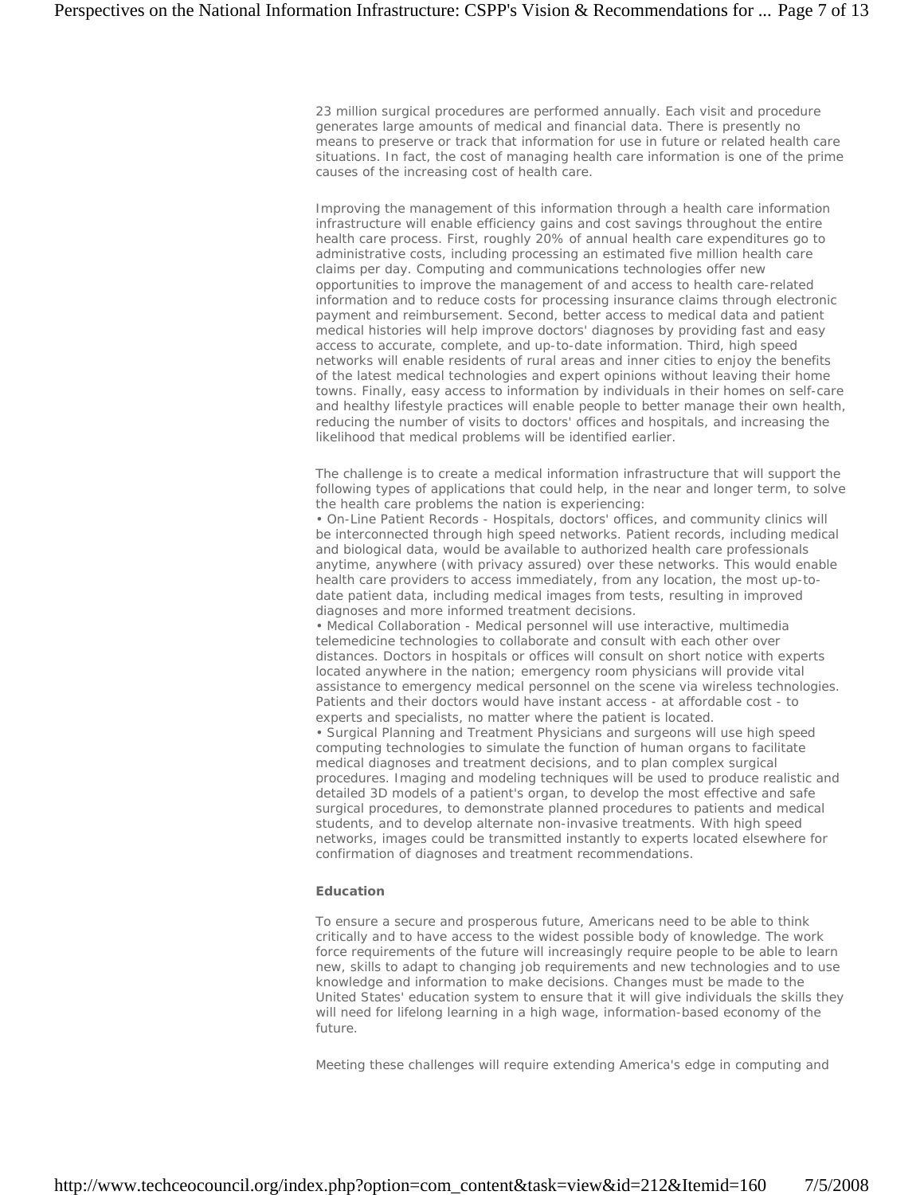23 million surgical procedures are performed annually. Each visit and procedure generates large amounts of medical and financial data. There is presently no means to preserve or track that information for use in future or related health care situations. In fact, the cost of managing health care information is one of the prime causes of the increasing cost of health care.

Improving the management of this information through a health care information infrastructure will enable efficiency gains and cost savings throughout the entire health care process. First, roughly 20% of annual health care expenditures go to administrative costs, including processing an estimated five million health care claims per day. Computing and communications technologies offer new opportunities to improve the management of and access to health care-related information and to reduce costs for processing insurance claims through electronic payment and reimbursement. Second, better access to medical data and patient medical histories will help improve doctors' diagnoses by providing fast and easy access to accurate, complete, and up-to-date information. Third, high speed networks will enable residents of rural areas and inner cities to enjoy the benefits of the latest medical technologies and expert opinions without leaving their home towns. Finally, easy access to information by individuals in their homes on self-care and healthy lifestyle practices will enable people to better manage their own health, reducing the number of visits to doctors' offices and hospitals, and increasing the likelihood that medical problems will be identified earlier.

The challenge is to create a medical information infrastructure that will support the following types of applications that could help, in the near and longer term, to solve the health care problems the nation is experiencing:

• On-Line Patient Records - Hospitals, doctors' offices, and community clinics will be interconnected through high speed networks. Patient records, including medical and biological data, would be available to authorized health care professionals anytime, anywhere (with privacy assured) over these networks. This would enable health care providers to access immediately, from any location, the most up-todate patient data, including medical images from tests, resulting in improved diagnoses and more informed treatment decisions.

• Medical Collaboration - Medical personnel will use interactive, multimedia telemedicine technologies to collaborate and consult with each other over distances. Doctors in hospitals or offices will consult on short notice with experts located anywhere in the nation; emergency room physicians will provide vital assistance to emergency medical personnel on the scene via wireless technologies. Patients and their doctors would have instant access - at affordable cost - to experts and specialists, no matter where the patient is located.

• Surgical Planning and Treatment Physicians and surgeons will use high speed computing technologies to simulate the function of human organs to facilitate medical diagnoses and treatment decisions, and to plan complex surgical procedures. Imaging and modeling techniques will be used to produce realistic and detailed 3D models of a patient's organ, to develop the most effective and safe surgical procedures, to demonstrate planned procedures to patients and medical students, and to develop alternate non-invasive treatments. With high speed networks, images could be transmitted instantly to experts located elsewhere for confirmation of diagnoses and treatment recommendations.

## **Education**

To ensure a secure and prosperous future, Americans need to be able to think critically and to have access to the widest possible body of knowledge. The work force requirements of the future will increasingly require people to be able to learn new, skills to adapt to changing job requirements and new technologies and to use knowledge and information to make decisions. Changes must be made to the United States' education system to ensure that it will give individuals the skills they will need for lifelong learning in a high wage, information-based economy of the future.

Meeting these challenges will require extending America's edge in computing and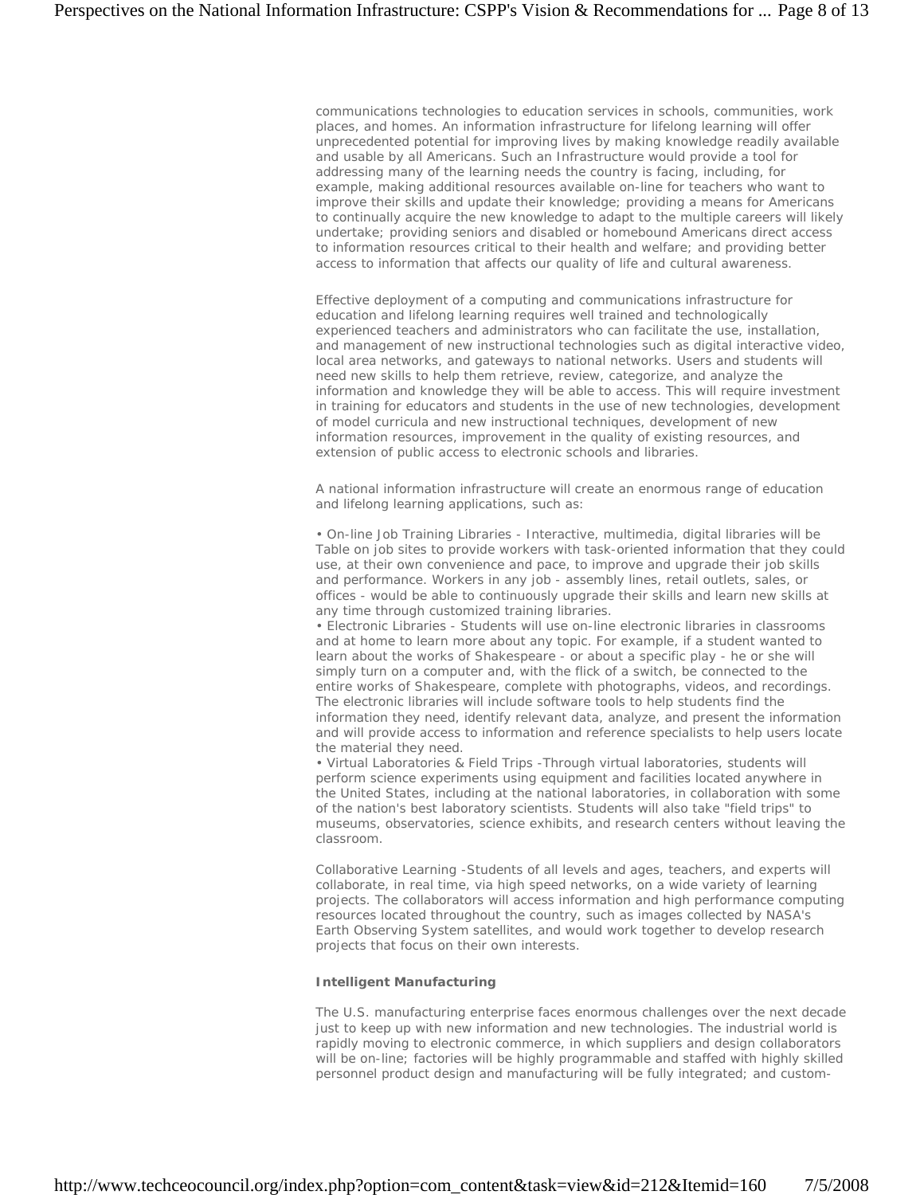communications technologies to education services in schools, communities, work places, and homes. An information infrastructure for lifelong learning will offer unprecedented potential for improving lives by making knowledge readily available and usable by all Americans. Such an Infrastructure would provide a tool for addressing many of the learning needs the country is facing, including, for example, making additional resources available on-line for teachers who want to improve their skills and update their knowledge; providing a means for Americans to continually acquire the new knowledge to adapt to the multiple careers will likely undertake; providing seniors and disabled or homebound Americans direct access to information resources critical to their health and welfare; and providing better access to information that affects our quality of life and cultural awareness.

Effective deployment of a computing and communications infrastructure for education and lifelong learning requires well trained and technologically experienced teachers and administrators who can facilitate the use, installation, and management of new instructional technologies such as digital interactive video, local area networks, and gateways to national networks. Users and students will need new skills to help them retrieve, review, categorize, and analyze the information and knowledge they will be able to access. This will require investment in training for educators and students in the use of new technologies, development of model curricula and new instructional techniques, development of new information resources, improvement in the quality of existing resources, and extension of public access to electronic schools and libraries.

A national information infrastructure will create an enormous range of education and lifelong learning applications, such as:

• On-line Job Training Libraries - Interactive, multimedia, digital libraries will be Table on job sites to provide workers with task-oriented information that they could use, at their own convenience and pace, to improve and upgrade their job skills and performance. Workers in any job - assembly lines, retail outlets, sales, or offices - would be able to continuously upgrade their skills and learn new skills at any time through customized training libraries.

• Electronic Libraries - Students will use on-line electronic libraries in classrooms and at home to learn more about any topic. For example, if a student wanted to learn about the works of Shakespeare - or about a specific play - he or she will simply turn on a computer and, with the flick of a switch, be connected to the entire works of Shakespeare, complete with photographs, videos, and recordings. The electronic libraries will include software tools to help students find the information they need, identify relevant data, analyze, and present the information and will provide access to information and reference specialists to help users locate the material they need.

• Virtual Laboratories & Field Trips -Through virtual laboratories, students will perform science experiments using equipment and facilities located anywhere in the United States, including at the national laboratories, in collaboration with some of the nation's best laboratory scientists. Students will also take "field trips" to museums, observatories, science exhibits, and research centers without leaving the classroom.

Collaborative Learning -Students of all levels and ages, teachers, and experts will collaborate, in real time, via high speed networks, on a wide variety of learning projects. The collaborators will access information and high performance computing resources located throughout the country, such as images collected by NASA's Earth Observing System satellites, and would work together to develop research projects that focus on their own interests.

## **Intelligent Manufacturing**

The U.S. manufacturing enterprise faces enormous challenges over the next decade just to keep up with new information and new technologies. The industrial world is rapidly moving to electronic commerce, in which suppliers and design collaborators will be on-line; factories will be highly programmable and staffed with highly skilled personnel product design and manufacturing will be fully integrated; and custom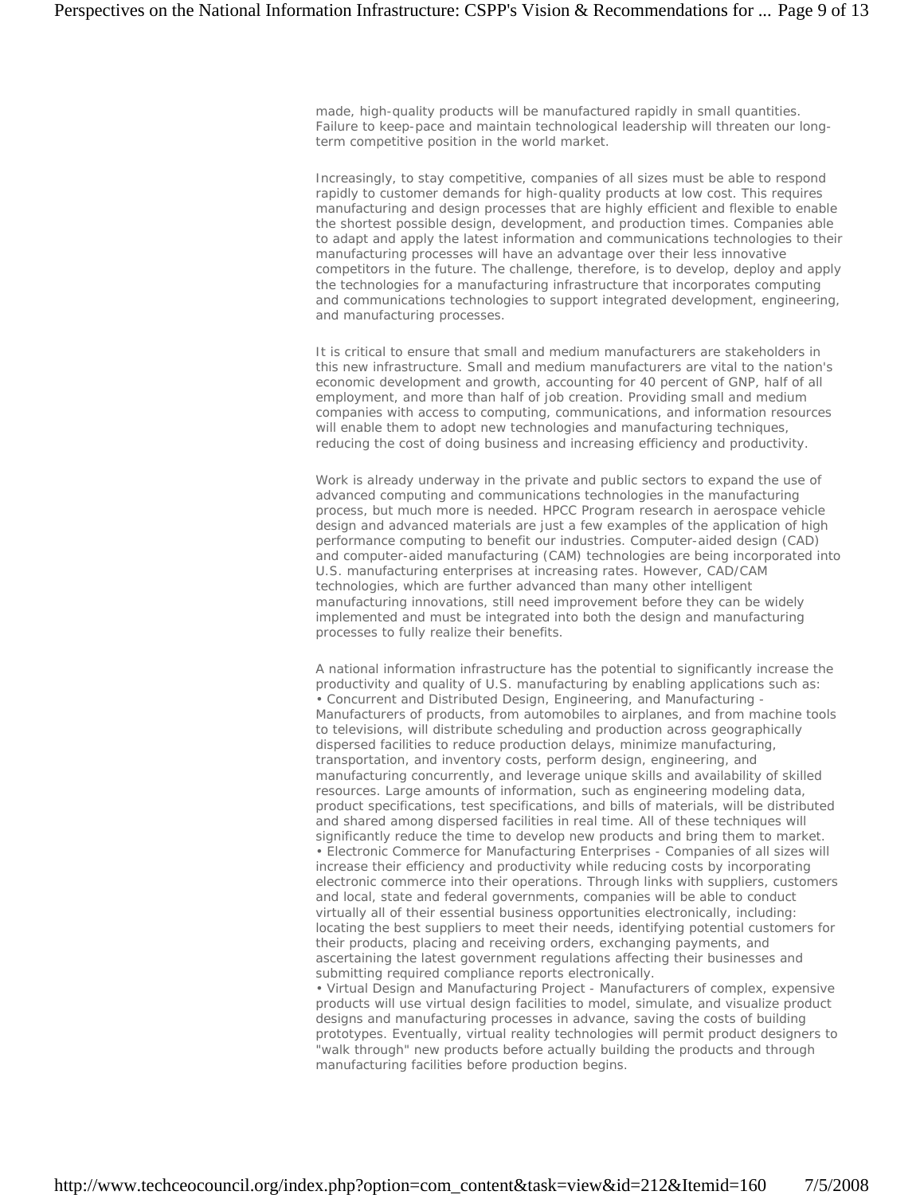made, high-quality products will be manufactured rapidly in small quantities. Failure to keep-pace and maintain technological leadership will threaten our longterm competitive position in the world market.

Increasingly, to stay competitive, companies of all sizes must be able to respond rapidly to customer demands for high-quality products at low cost. This requires manufacturing and design processes that are highly efficient and flexible to enable the shortest possible design, development, and production times. Companies able to adapt and apply the latest information and communications technologies to their manufacturing processes will have an advantage over their less innovative competitors in the future. The challenge, therefore, is to develop, deploy and apply the technologies for a manufacturing infrastructure that incorporates computing and communications technologies to support integrated development, engineering, and manufacturing processes.

It is critical to ensure that small and medium manufacturers are stakeholders in this new infrastructure. Small and medium manufacturers are vital to the nation's economic development and growth, accounting for 40 percent of GNP, half of all employment, and more than half of job creation. Providing small and medium companies with access to computing, communications, and information resources will enable them to adopt new technologies and manufacturing techniques, reducing the cost of doing business and increasing efficiency and productivity.

Work is already underway in the private and public sectors to expand the use of advanced computing and communications technologies in the manufacturing process, but much more is needed. HPCC Program research in aerospace vehicle design and advanced materials are just a few examples of the application of high performance computing to benefit our industries. Computer-aided design (CAD) and computer-aided manufacturing (CAM) technologies are being incorporated into U.S. manufacturing enterprises at increasing rates. However, CAD/CAM technologies, which are further advanced than many other intelligent manufacturing innovations, still need improvement before they can be widely implemented and must be integrated into both the design and manufacturing processes to fully realize their benefits.

A national information infrastructure has the potential to significantly increase the productivity and quality of U.S. manufacturing by enabling applications such as: • Concurrent and Distributed Design, Engineering, and Manufacturing - Manufacturers of products, from automobiles to airplanes, and from machine tools to televisions, will distribute scheduling and production across geographically dispersed facilities to reduce production delays, minimize manufacturing, transportation, and inventory costs, perform design, engineering, and manufacturing concurrently, and leverage unique skills and availability of skilled resources. Large amounts of information, such as engineering modeling data, product specifications, test specifications, and bills of materials, will be distributed and shared among dispersed facilities in real time. All of these techniques will significantly reduce the time to develop new products and bring them to market. • Electronic Commerce for Manufacturing Enterprises - Companies of all sizes will increase their efficiency and productivity while reducing costs by incorporating electronic commerce into their operations. Through links with suppliers, customers and local, state and federal governments, companies will be able to conduct virtually all of their essential business opportunities electronically, including: locating the best suppliers to meet their needs, identifying potential customers for their products, placing and receiving orders, exchanging payments, and ascertaining the latest government regulations affecting their businesses and submitting required compliance reports electronically.

• Virtual Design and Manufacturing Project - Manufacturers of complex, expensive products will use virtual design facilities to model, simulate, and visualize product designs and manufacturing processes in advance, saving the costs of building prototypes. Eventually, virtual reality technologies will permit product designers to "walk through" new products before actually building the products and through manufacturing facilities before production begins.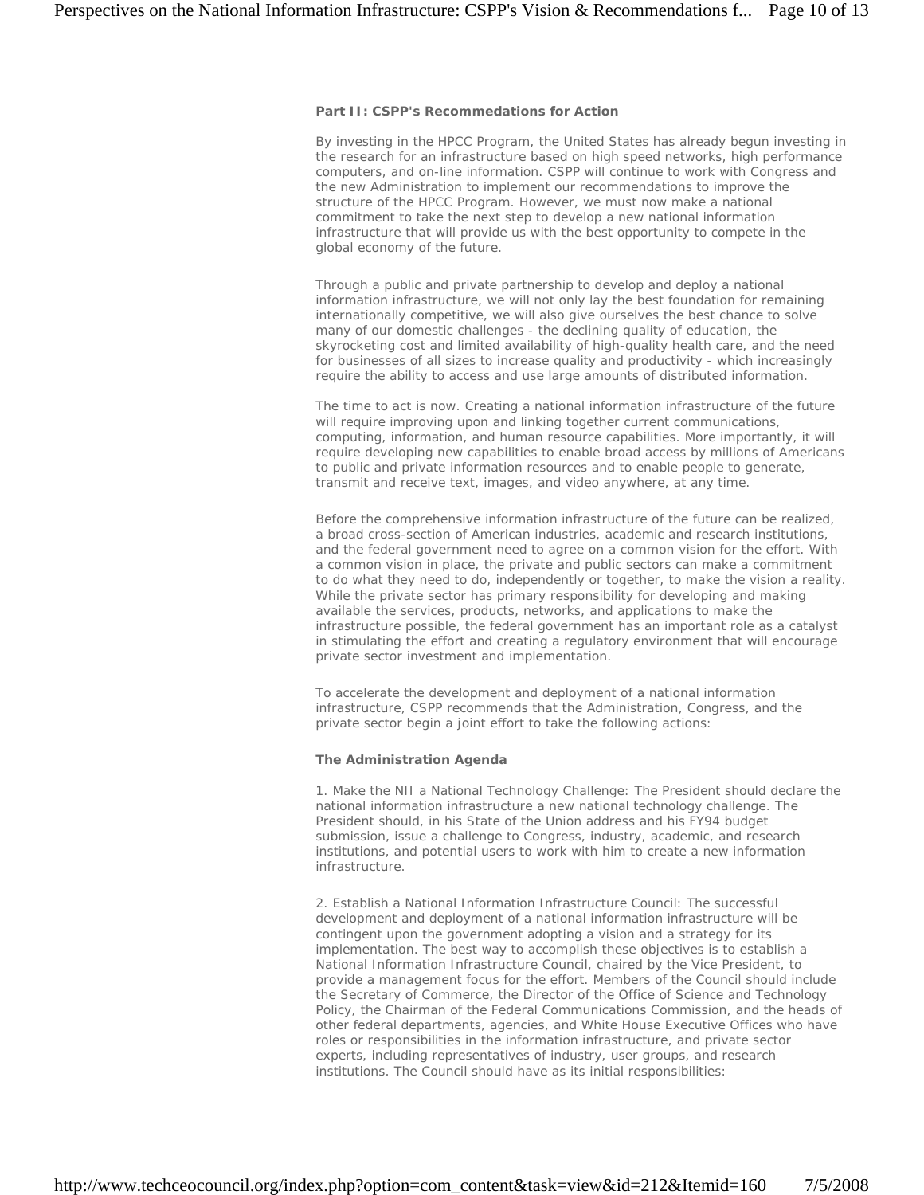#### **Part II: CSPP's Recommedations for Action**

By investing in the HPCC Program, the United States has already begun investing in the research for an infrastructure based on high speed networks, high performance computers, and on-line information. CSPP will continue to work with Congress and the new Administration to implement our recommendations to improve the structure of the HPCC Program. However, we must now make a national commitment to take the next step to develop a new national information infrastructure that will provide us with the best opportunity to compete in the global economy of the future.

Through a public and private partnership to develop and deploy a national information infrastructure, we will not only lay the best foundation for remaining internationally competitive, we will also give ourselves the best chance to solve many of our domestic challenges - the declining quality of education, the skyrocketing cost and limited availability of high-quality health care, and the need for businesses of all sizes to increase quality and productivity - which increasingly require the ability to access and use large amounts of distributed information.

The time to act is now. Creating a national information infrastructure of the future will require improving upon and linking together current communications, computing, information, and human resource capabilities. More importantly, it will require developing new capabilities to enable broad access by millions of Americans to public and private information resources and to enable people to generate, transmit and receive text, images, and video anywhere, at any time.

Before the comprehensive information infrastructure of the future can be realized, a broad cross-section of American industries, academic and research institutions, and the federal government need to agree on a common vision for the effort. With a common vision in place, the private and public sectors can make a commitment to do what they need to do, independently or together, to make the vision a reality. While the private sector has primary responsibility for developing and making available the services, products, networks, and applications to make the infrastructure possible, the federal government has an important role as a catalyst in stimulating the effort and creating a regulatory environment that will encourage private sector investment and implementation.

To accelerate the development and deployment of a national information infrastructure, CSPP recommends that the Administration, Congress, and the private sector begin a joint effort to take the following actions:

#### **The Administration Agenda**

1. Make the NII a National Technology Challenge: The President should declare the national information infrastructure a new national technology challenge. The President should, in his State of the Union address and his FY94 budget submission, issue a challenge to Congress, industry, academic, and research institutions, and potential users to work with him to create a new information infrastructure.

2. Establish a National Information Infrastructure Council: The successful development and deployment of a national information infrastructure will be contingent upon the government adopting a vision and a strategy for its implementation. The best way to accomplish these objectives is to establish a National Information Infrastructure Council, chaired by the Vice President, to provide a management focus for the effort. Members of the Council should include the Secretary of Commerce, the Director of the Office of Science and Technology Policy, the Chairman of the Federal Communications Commission, and the heads of other federal departments, agencies, and White House Executive Offices who have roles or responsibilities in the information infrastructure, and private sector experts, including representatives of industry, user groups, and research institutions. The Council should have as its initial responsibilities: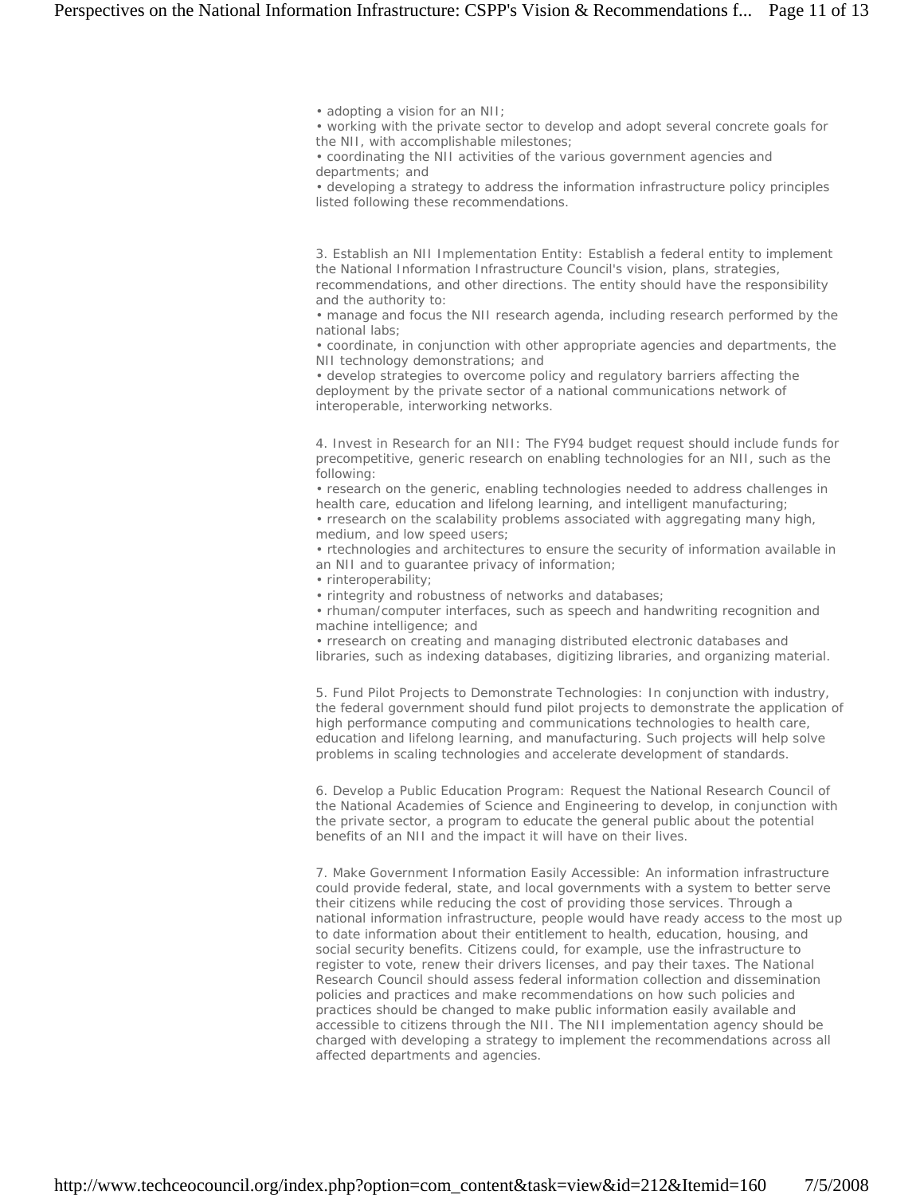• adopting a vision for an NII;

• working with the private sector to develop and adopt several concrete goals for the NII, with accomplishable milestones;

• coordinating the NII activities of the various government agencies and departments; and

• developing a strategy to address the information infrastructure policy principles listed following these recommendations.

3. Establish an NII Implementation Entity: Establish a federal entity to implement the National Information Infrastructure Council's vision, plans, strategies, recommendations, and other directions. The entity should have the responsibility and the authority to:

• manage and focus the NII research agenda, including research performed by the national labs;

• coordinate, in conjunction with other appropriate agencies and departments, the NII technology demonstrations; and

• develop strategies to overcome policy and regulatory barriers affecting the deployment by the private sector of a national communications network of interoperable, interworking networks.

4. Invest in Research for an NII: The FY94 budget request should include funds for precompetitive, generic research on enabling technologies for an NII, such as the following:

• research on the generic, enabling technologies needed to address challenges in health care, education and lifelong learning, and intelligent manufacturing;

• rresearch on the scalability problems associated with aggregating many high, medium, and low speed users;

• rtechnologies and architectures to ensure the security of information available in an NII and to guarantee privacy of information;

• rinteroperability;

• rintegrity and robustness of networks and databases;

• rhuman/computer interfaces, such as speech and handwriting recognition and machine intelligence; and

• rresearch on creating and managing distributed electronic databases and libraries, such as indexing databases, digitizing libraries, and organizing material.

5. Fund Pilot Projects to Demonstrate Technologies: In conjunction with industry, the federal government should fund pilot projects to demonstrate the application of high performance computing and communications technologies to health care, education and lifelong learning, and manufacturing. Such projects will help solve problems in scaling technologies and accelerate development of standards.

6. Develop a Public Education Program: Request the National Research Council of the National Academies of Science and Engineering to develop, in conjunction with the private sector, a program to educate the general public about the potential benefits of an NII and the impact it will have on their lives.

7. Make Government Information Easily Accessible: An information infrastructure could provide federal, state, and local governments with a system to better serve their citizens while reducing the cost of providing those services. Through a national information infrastructure, people would have ready access to the most up to date information about their entitlement to health, education, housing, and social security benefits. Citizens could, for example, use the infrastructure to register to vote, renew their drivers licenses, and pay their taxes. The National Research Council should assess federal information collection and dissemination policies and practices and make recommendations on how such policies and practices should be changed to make public information easily available and accessible to citizens through the NII. The NII implementation agency should be charged with developing a strategy to implement the recommendations across all affected departments and agencies.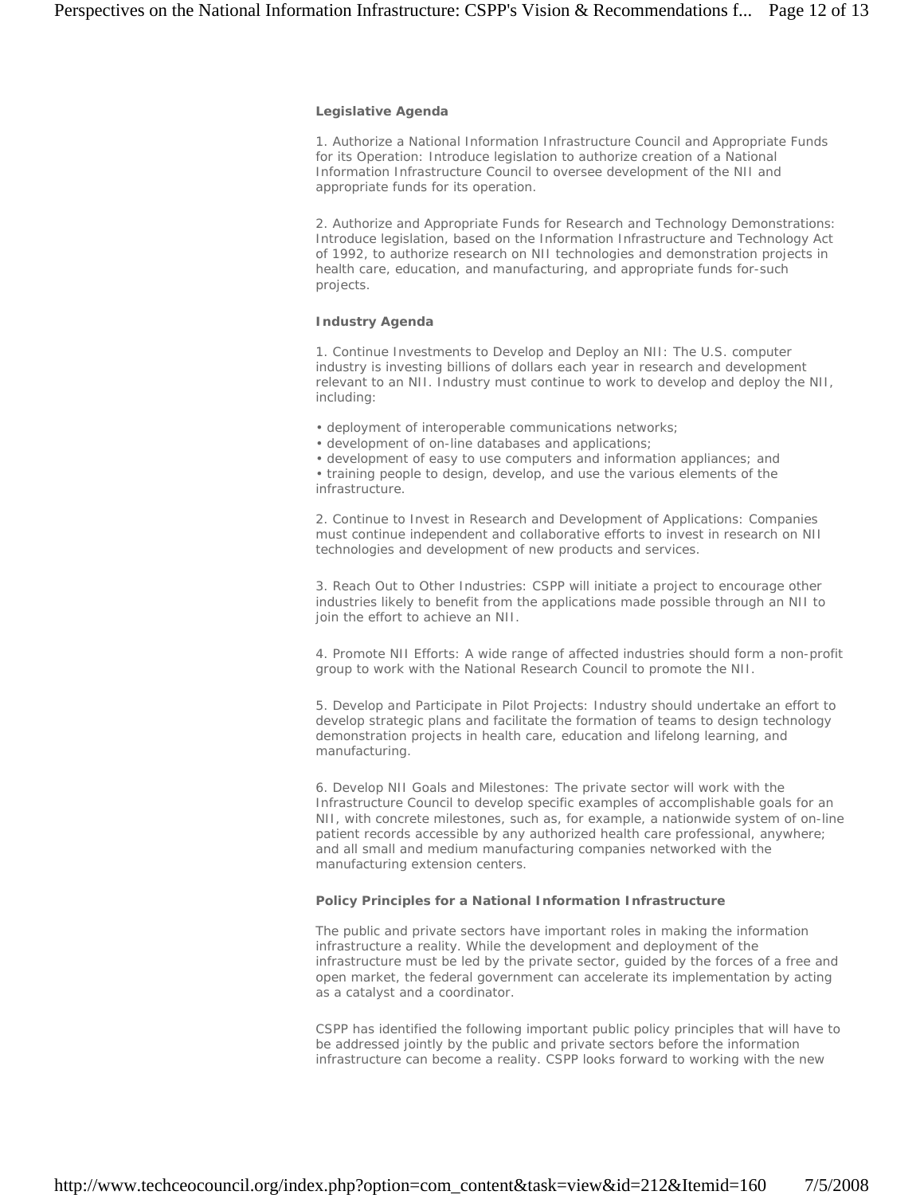#### **Legislative Agenda**

1. Authorize a National Information Infrastructure Council and Appropriate Funds for its Operation: Introduce legislation to authorize creation of a National Information Infrastructure Council to oversee development of the NII and appropriate funds for its operation.

2. Authorize and Appropriate Funds for Research and Technology Demonstrations: Introduce legislation, based on the Information Infrastructure and Technology Act of 1992, to authorize research on NII technologies and demonstration projects in health care, education, and manufacturing, and appropriate funds for-such projects.

### **Industry Agenda**

1. Continue Investments to Develop and Deploy an NII: The U.S. computer industry is investing billions of dollars each year in research and development relevant to an NII. Industry must continue to work to develop and deploy the NII, including:

- deployment of interoperable communications networks;
- development of on-line databases and applications;

• development of easy to use computers and information appliances; and • training people to design, develop, and use the various elements of the infrastructure.

2. Continue to Invest in Research and Development of Applications: Companies must continue independent and collaborative efforts to invest in research on NII technologies and development of new products and services.

3. Reach Out to Other Industries: CSPP will initiate a project to encourage other industries likely to benefit from the applications made possible through an NII to join the effort to achieve an NII.

4. Promote NII Efforts: A wide range of affected industries should form a non-profit group to work with the National Research Council to promote the NII.

5. Develop and Participate in Pilot Projects: Industry should undertake an effort to develop strategic plans and facilitate the formation of teams to design technology demonstration projects in health care, education and lifelong learning, and manufacturing.

6. Develop NII Goals and Milestones: The private sector will work with the Infrastructure Council to develop specific examples of accomplishable goals for an NII, with concrete milestones, such as, for example, a nationwide system of on-line patient records accessible by any authorized health care professional, anywhere; and all small and medium manufacturing companies networked with the manufacturing extension centers.

## **Policy Principles for a National Information Infrastructure**

The public and private sectors have important roles in making the information infrastructure a reality. While the development and deployment of the infrastructure must be led by the private sector, guided by the forces of a free and open market, the federal government can accelerate its implementation by acting as a catalyst and a coordinator.

CSPP has identified the following important public policy principles that will have to be addressed jointly by the public and private sectors before the information infrastructure can become a reality. CSPP looks forward to working with the new